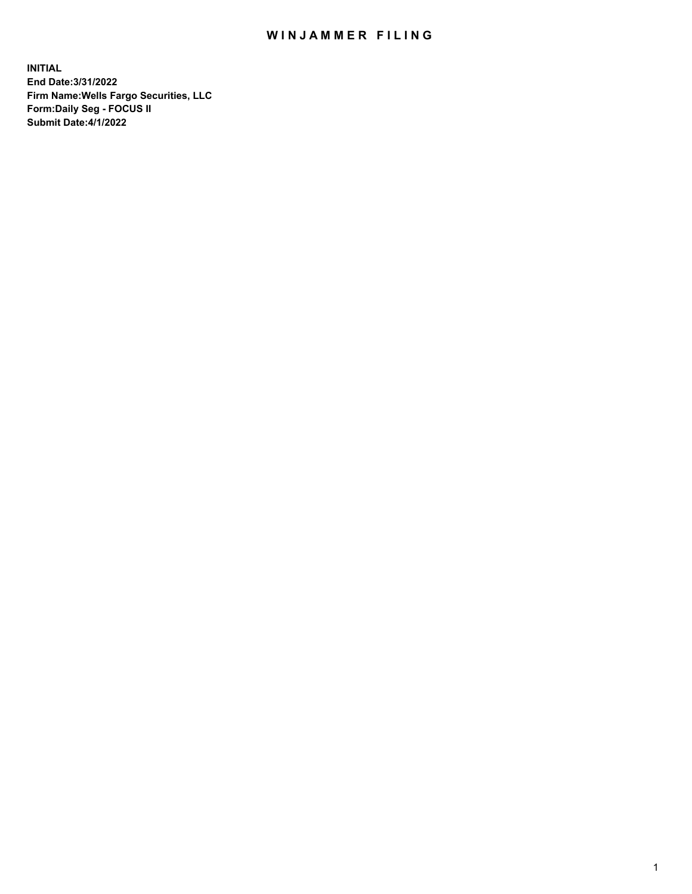## WIN JAMMER FILING

**INITIAL End Date:3/31/2022 Firm Name:Wells Fargo Securities, LLC Form:Daily Seg - FOCUS II Submit Date:4/1/2022**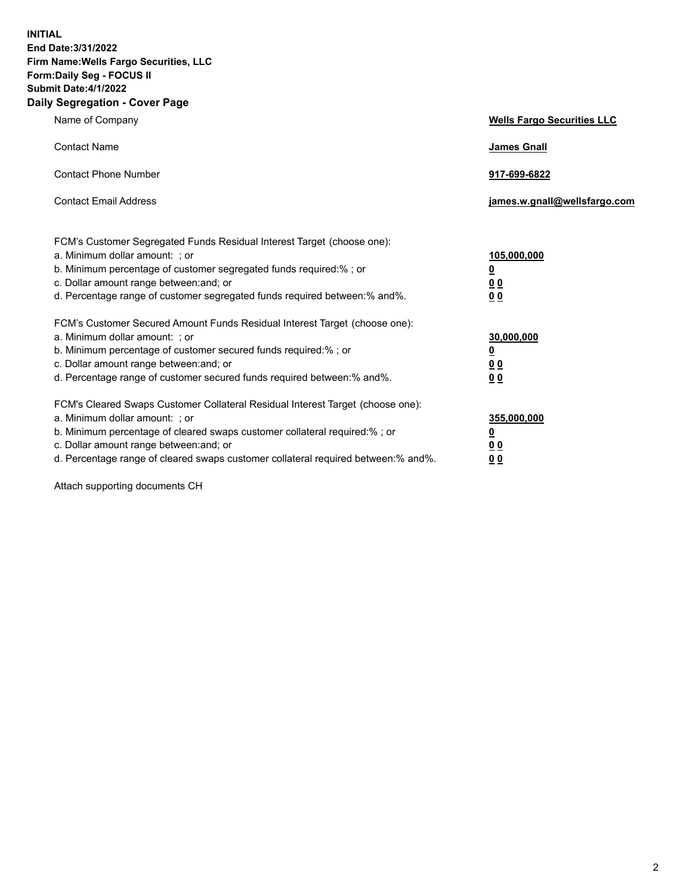**INITIAL End Date:3/31/2022 Firm Name:Wells Fargo Securities, LLC Form:Daily Seg - FOCUS II Submit Date:4/1/2022 Daily Segregation - Cover Page**

| Name of Company                                                                   | <b>Wells Fargo Securities LLC</b> |
|-----------------------------------------------------------------------------------|-----------------------------------|
| <b>Contact Name</b>                                                               | <b>James Gnall</b>                |
|                                                                                   |                                   |
| <b>Contact Phone Number</b>                                                       | 917-699-6822                      |
| <b>Contact Email Address</b>                                                      | james.w.gnall@wellsfargo.com      |
|                                                                                   |                                   |
| FCM's Customer Segregated Funds Residual Interest Target (choose one):            |                                   |
| a. Minimum dollar amount: ; or                                                    | 105,000,000                       |
| b. Minimum percentage of customer segregated funds required:% ; or                | <u>0</u>                          |
| c. Dollar amount range between: and; or                                           | 00                                |
| d. Percentage range of customer segregated funds required between:% and%.         | 0 <sub>0</sub>                    |
| FCM's Customer Secured Amount Funds Residual Interest Target (choose one):        |                                   |
| a. Minimum dollar amount: ; or                                                    | 30,000,000                        |
| b. Minimum percentage of customer secured funds required:%; or                    | <u>0</u>                          |
| c. Dollar amount range between: and; or                                           | 00                                |
| d. Percentage range of customer secured funds required between: % and %.          | 00                                |
| FCM's Cleared Swaps Customer Collateral Residual Interest Target (choose one):    |                                   |
| a. Minimum dollar amount: ; or                                                    | 355,000,000                       |
| b. Minimum percentage of cleared swaps customer collateral required:% ; or        | <u>0</u>                          |
| c. Dollar amount range between: and; or                                           | <u>00</u>                         |
| d. Percentage range of cleared swaps customer collateral required between:% and%. | 00                                |
|                                                                                   |                                   |

Attach supporting documents CH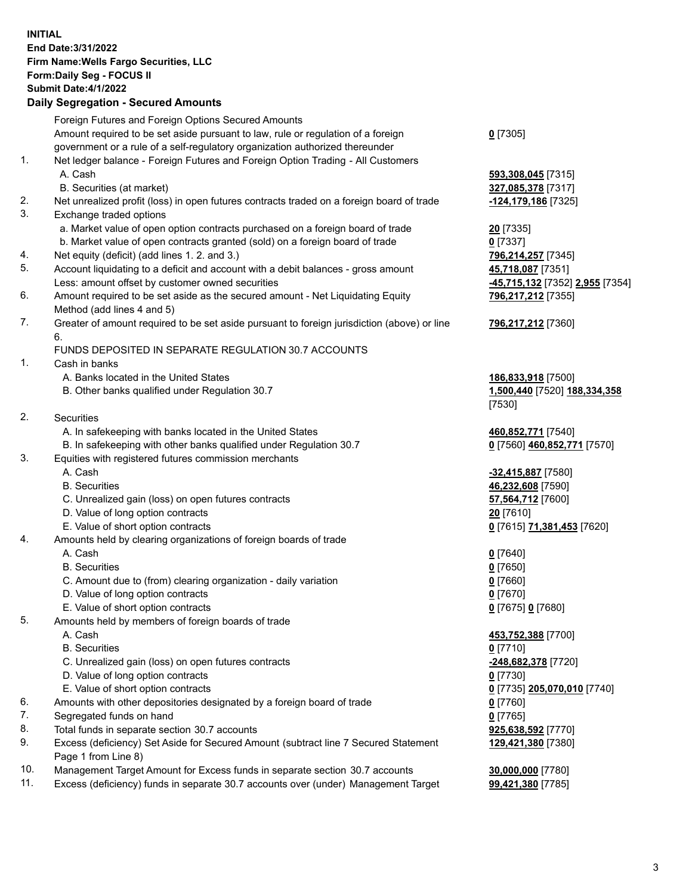**INITIAL End Date:3/31/2022 Firm Name:Wells Fargo Securities, LLC Form:Daily Seg - FOCUS II Submit Date:4/1/2022 Daily Segregation - Secured Amounts** Foreign Futures and Foreign Options Secured Amounts Amount required to be set aside pursuant to law, rule or regulation of a foreign government or a rule of a self-regulatory organization authorized thereunder **0** [7305] 1. Net ledger balance - Foreign Futures and Foreign Option Trading - All Customers A. Cash **593,308,045** [7315] B. Securities (at market) **327,085,378** [7317] 2. Net unrealized profit (loss) in open futures contracts traded on a foreign board of trade **-124,179,186** [7325] 3. Exchange traded options a. Market value of open option contracts purchased on a foreign board of trade **20** [7335] b. Market value of open contracts granted (sold) on a foreign board of trade **0** [7337] 4. Net equity (deficit) (add lines 1. 2. and 3.) **796,214,257** [7345] 5. Account liquidating to a deficit and account with a debit balances - gross amount **45,718,087** [7351] Less: amount offset by customer owned securities **-45,715,132** [7352] **2,955** [7354] 6. Amount required to be set aside as the secured amount - Net Liquidating Equity Method (add lines 4 and 5) **796,217,212** [7355] 7. Greater of amount required to be set aside pursuant to foreign jurisdiction (above) or line 6. **796,217,212** [7360] FUNDS DEPOSITED IN SEPARATE REGULATION 30.7 ACCOUNTS 1. Cash in banks A. Banks located in the United States **186,833,918** [7500] B. Other banks qualified under Regulation 30.7 **1,500,440** [7520] **188,334,358** [7530] 2. Securities A. In safekeeping with banks located in the United States **460,852,771** [7540] B. In safekeeping with other banks qualified under Regulation 30.7 **0** [7560] **460,852,771** [7570] 3. Equities with registered futures commission merchants A. Cash **-32,415,887** [7580] B. Securities **46,232,608** [7590] C. Unrealized gain (loss) on open futures contracts **57,564,712** [7600] D. Value of long option contracts **20** [7610] E. Value of short option contracts **0** [7615] **71,381,453** [7620] 4. Amounts held by clearing organizations of foreign boards of trade A. Cash **0** [7640] B. Securities **0** [7650] C. Amount due to (from) clearing organization - daily variation **0** [7660] D. Value of long option contracts **0** [7670] E. Value of short option contracts **0** [7675] **0** [7680] 5. Amounts held by members of foreign boards of trade A. Cash **453,752,388** [7700] B. Securities **0** [7710] C. Unrealized gain (loss) on open futures contracts **-248,682,378** [7720] D. Value of long option contracts **0** [7730] E. Value of short option contracts **0** [7735] **205,070,010** [7740] 6. Amounts with other depositories designated by a foreign board of trade **0** [7760] 7. Segregated funds on hand **0** [7765] 8. Total funds in separate section 30.7 accounts **925,638,592** [7770] **129,421,380** [7380]

- 9. Excess (deficiency) Set Aside for Secured Amount (subtract line 7 Secured Statement Page 1 from Line 8)
- 10. Management Target Amount for Excess funds in separate section 30.7 accounts **30,000,000** [7780]
- 11. Excess (deficiency) funds in separate 30.7 accounts over (under) Management Target **99,421,380** [7785]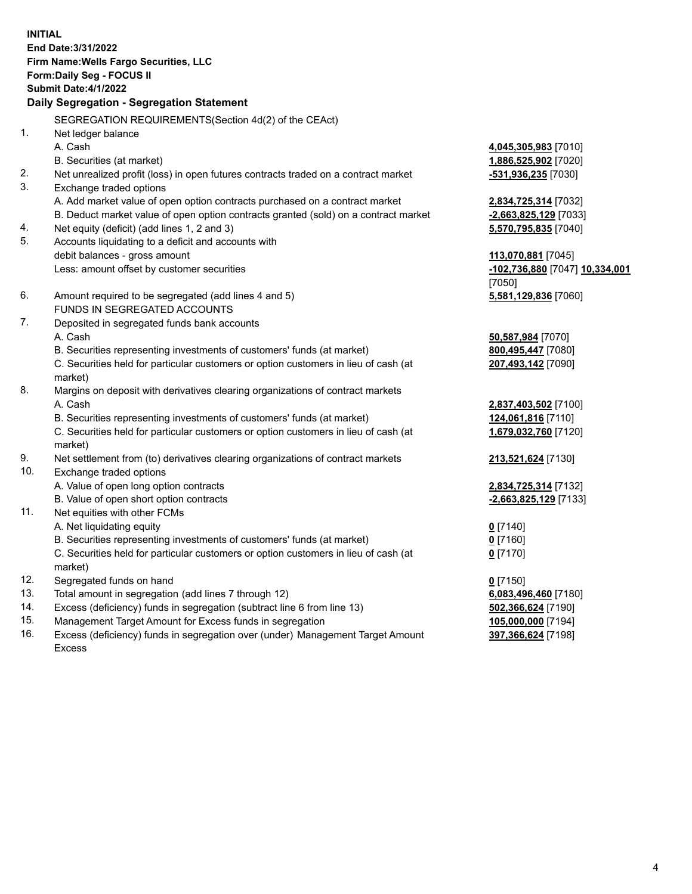**INITIAL End Date:3/31/2022 Firm Name:Wells Fargo Securities, LLC Form:Daily Seg - FOCUS II Submit Date:4/1/2022 Daily Segregation - Segregation Statement** SEGREGATION REQUIREMENTS(Section 4d(2) of the CEAct) 1. Net ledger balance A. Cash **4,045,305,983** [7010] B. Securities (at market) **1,886,525,902** [7020] 2. Net unrealized profit (loss) in open futures contracts traded on a contract market **-531,936,235** [7030] 3. Exchange traded options A. Add market value of open option contracts purchased on a contract market **2,834,725,314** [7032] B. Deduct market value of open option contracts granted (sold) on a contract market **-2,663,825,129** [7033] 4. Net equity (deficit) (add lines 1, 2 and 3) **5,570,795,835** [7040] 5. Accounts liquidating to a deficit and accounts with debit balances - gross amount **113,070,881** [7045] Less: amount offset by customer securities **-102,736,880** [7047] **10,334,001** [7050] 6. Amount required to be segregated (add lines 4 and 5) **5,581,129,836** [7060] FUNDS IN SEGREGATED ACCOUNTS 7. Deposited in segregated funds bank accounts A. Cash **50,587,984** [7070] B. Securities representing investments of customers' funds (at market) **800,495,447** [7080] C. Securities held for particular customers or option customers in lieu of cash (at market) **207,493,142** [7090] 8. Margins on deposit with derivatives clearing organizations of contract markets A. Cash **2,837,403,502** [7100] B. Securities representing investments of customers' funds (at market) **124,061,816** [7110] C. Securities held for particular customers or option customers in lieu of cash (at market) **1,679,032,760** [7120] 9. Net settlement from (to) derivatives clearing organizations of contract markets **213,521,624** [7130] 10. Exchange traded options A. Value of open long option contracts **2,834,725,314** [7132] B. Value of open short option contracts **-2,663,825,129** [7133] 11. Net equities with other FCMs A. Net liquidating equity **0** [7140] B. Securities representing investments of customers' funds (at market) **0** [7160] C. Securities held for particular customers or option customers in lieu of cash (at market) **0** [7170] 12. Segregated funds on hand **0** [7150] 13. Total amount in segregation (add lines 7 through 12) **6,083,496,460** [7180] 14. Excess (deficiency) funds in segregation (subtract line 6 from line 13) **502,366,624** [7190] 15. Management Target Amount for Excess funds in segregation **105,000,000** [7194]

16. Excess (deficiency) funds in segregation over (under) Management Target Amount Excess

**397,366,624** [7198]